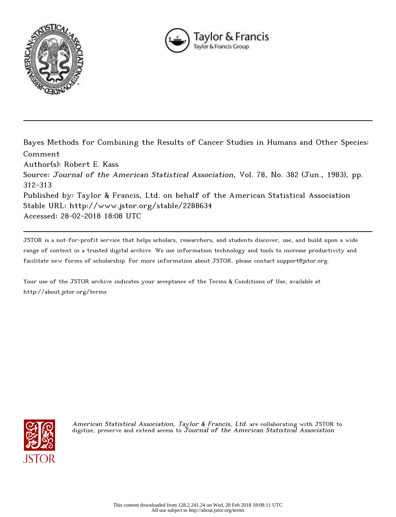



Bayes Methods for Combining the Results of Cancer Studies in Humans and Other Species: Comment Author(s): Robert E. Kass Source: Journal of the American Statistical Association, Vol. 78, No. 382 (Jun., 1983), pp. 312-313 Published by: Taylor & Francis, Ltd. on behalf of the American Statistical Association Stable URL: http://www.jstor.org/stable/2288634 Accessed: 28-02-2018 18:08 UTC

JSTOR is a not-for-profit service that helps scholars, researchers, and students discover, use, and build upon a wide range of content in a trusted digital archive. We use information technology and tools to increase productivity and facilitate new forms of scholarship. For more information about JSTOR, please contact support@jstor.org.

Your use of the JSTOR archive indicates your acceptance of the Terms & Conditions of Use, available at http://about.jstor.org/terms



American Statistical Association, Taylor & Francis, Ltd. are collaborating with JSTOR to digitize, preserve and extend access to Journal of the American Statistical Association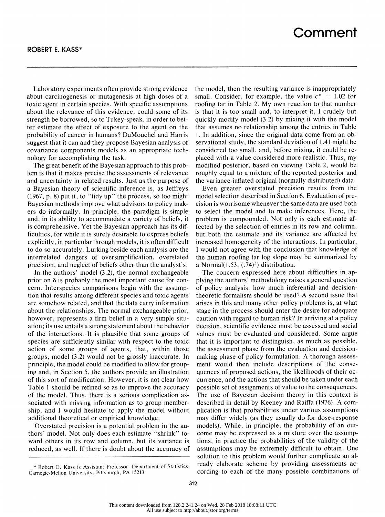Laboratory experiments often provide strong evidence about carcinogenesis or mutagenesis at high doses of a toxic agent in certain species. With specific assumptions about the relevance of this evidence, could some of its strength be borrowed, so to Tukey-speak, in order to bet ter estimate the effect of exposure to the agent on the probability of cancer in humans? DuMouchel and Harris suggest that it can and they propose Bayesian analysis of covariance components models as an appropriate tech nology for accomplishing the task.

 The great benefit of the Bayesian approach to this prob lem is that it makes precise the assessments of relevance and uncertainty in related results. Just as the purpose of a Bayesian theory of scientific inference is, as Jeffreys (1967, p. 8) put it, to "tidy up" the process, so too might Bayesian methods improve what advisors to policy mak ers do informally. In principle, the paradigm is simple and, in its ability to accommodate a variety of beliefs, it is comprehensive. Yet the Bayesian approach has its dif ficulties, for while it is surely desirable to express beliefs explicitly, in particular through models, it is often difficult to do so accurately. Lurking beside each analysis are the interrelated dangers of oversimplification, overstated precision, and neglect of beliefs other than the analyst's.

 In the authors' model (3.2), the normal exchangeable prior on  $\delta$  is probably the most important cause for con cern. Interspecies comparisons begin with the assump tion that results among different species and toxic agents are somehow related, and that the data carry information about the relationships. The normal exchangeable prior, however, represents a firm belief in a very simple situ ation; its use entails a strong statement about the behavior of the interactions. It is plausible that some groups of species are sufficiently similar with respect to the toxic action of some groups of agents, that, within those groups, model (3.2) would not be grossly inaccurate. In principle, the model could be modified to allow for group ing and, in Section 5, the authors provide an illustration of this sort of modification. However, it is not clear how Table 1 should be refined so as to improve the accuracy of the model. Thus, there is a serious complication as sociated with missing information as to group member ship, and I would hesitate to apply the model without additional theoretical or empirical knowledge.

 Overstated precision is a potential problem in the au thors' model. Not only does each estimate "shrink" to ward others in its row and column, but its variance is reduced, as well. If there is doubt about the accuracy of  the model, then the resulting variance is inappropriately small. Consider, for example, the value  $c^* = 1.02$  for roofing tar in Table 2. My own reaction to that number is that it is too small and, to interpret it, I crudely but quickly modify model (3.2) by mixing it with the model that assumes no relationship among the entries in Table 1. In addition, since the original data come from an ob servational study, the standard deviation of 1.41 might be considered too small, and, before mixing, it could be re placed with a value considered more realistic. Thus, my modified posterior, based on viewing Table 2, would be roughly equal to a mixture of the reported posterior and the variance-inflated original (normally distributed) data.

 Even greater overstated precision results from the model selection described in Section 6. Evaluation of pre cision is worrisome whenever the same data are used both to select the model and to make inferences. Here, the problem is compounded. Not only is each estimate af fected by the selection of entries in its row and column, but both the estimate and its variance are affected by increased homogeneity of the interactions. In particular, I would not agree with the conclusion that knowledge of the human roofing tar log slope may be summarized by a Normal $(1.53, (.74)^2)$  distribution.

 The concern expressed here about difficulties in ap plying the authors' methodology raises a general question of policy analysis: how much inferential and decision theoretic formalism should be used? A second issue that arises in this and many other policy problems is, at what stage in the process should enter the desire for adequate caution with regard to human risk? In arriving at a policy decision, scientific evidence must be assessed and social values must be evaluated and considered. Some argue that it is important to distinguish, as much as possible, the assessment phase from the evaluation and decision making phase of policy formulation. A thorough assess ment would then include descriptions of the conse quences of proposed actions, the likelihoods of their oc currence, and the actions that should be taken under each possible set of assignments of value to the consequences. The use of Bayesian decision theory in this context is described in detail by Keeney and Raiffa (1976). A com plication is that probabilities under various assumptions may differ widely (as they usually do for dose-response models). While, in principle, the probability of an out come may be expressed as a mixture over the assump tions, in practice the probabilities of the validity of the assumptions may be extremely difficult to obtain. One solution to this problem would further complicate an al ready elaborate scheme by providing assessments ac cording to each of the many possible combinations of

 <sup>\*</sup> Robert E. Kass is Assistant Professor, Department of Statistics, Carnegie-Mellon University, Pittsburgh, PA 15213.